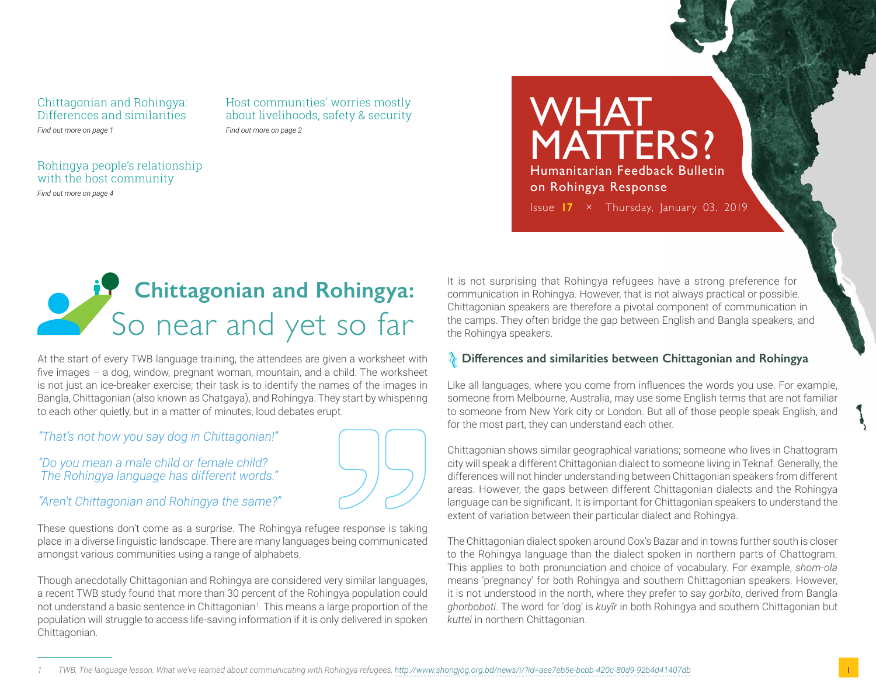#### Chittagonian and Rohingya: Differences and similarities *Find out more on page 1*

Host communities' worries mostly about livelihoods, safety & security *Find out more on page 2*

### Rohingya people's relationship with the host community

*Find out more on page 4*

MATTERS? Humanitarian Feedback Bulletin on Rohingya Response Issue **17** × Thursday, January 03, 2019

WHAT



At the start of every TWB language training, the attendees are given a worksheet with five images – a dog, window, pregnant woman, mountain, and a child. The worksheet is not just an ice-breaker exercise; their task is to identify the names of the images in Bangla, Chittagonian (also known as Chatgaya), and Rohingya. They start by whispering to each other quietly, but in a matter of minutes, loud debates erupt.

*"That's not how you say dog in Chittagonian!"*

*"Do you mean a male child or female child? The Rohingya language has different words."*

*"Aren't Chittagonian and Rohingya the same?"*

These questions don't come as a surprise. The Rohingya refugee response is taking place in a diverse linguistic landscape. There are many languages being communicated amongst various communities using a range of alphabets.

Though anecdotally Chittagonian and Rohingya are considered very similar languages, a recent TWB study found that more than 30 percent of the Rohingya population could not understand a basic sentence in Chittagonian<sup>1</sup>. This means a large proportion of the population will struggle to access life-saving information if it is only delivered in spoken Chittagonian.

It is not surprising that Rohingya refugees have a strong preference for communication in Rohingya. However, that is not always practical or possible. Chittagonian speakers are therefore a pivotal component of communication in the camps. They often bridge the gap between English and Bangla speakers, and the Rohingya speakers.

## *I* Differences and similarities between Chittagonian and Rohingya

Like all languages, where you come from influences the words you use. For example, someone from Melbourne, Australia, may use some English terms that are not familiar to someone from New York city or London. But all of those people speak English, and for the most part, they can understand each other.

Chittagonian shows similar geographical variations; someone who lives in Chattogram city will speak a different Chittagonian dialect to someone living in Teknaf. Generally, the differences will not hinder understanding between Chittagonian speakers from different areas. However, the gaps between different Chittagonian dialects and the Rohingya language can be significant. It is important for Chittagonian speakers to understand the extent of variation between their particular dialect and Rohingya.

The Chittagonian dialect spoken around Cox's Bazar and in towns further south is closer to the Rohingya language than the dialect spoken in northern parts of Chattogram. This applies to both pronunciation and choice of vocabulary. For example, *shom-ola*  means 'pregnancy' for both Rohingya and southern Chittagonian speakers. However, it is not understood in the north, where they prefer to say *gorbito*, derived from Bangla *ghorboboti*. The word for 'dog' is *kuyĩr* in both Rohingya and southern Chittagonian but *kuttei* in northern Chittagonian.

1

*<sup>1</sup> TWB, The language lesson: What we've learned about communicating with Rohingya refugees,<http://www.shongjog.org.bd/news/i/?id=aee7eb5e-bcbb-420c-80d9-92b4d41407db>*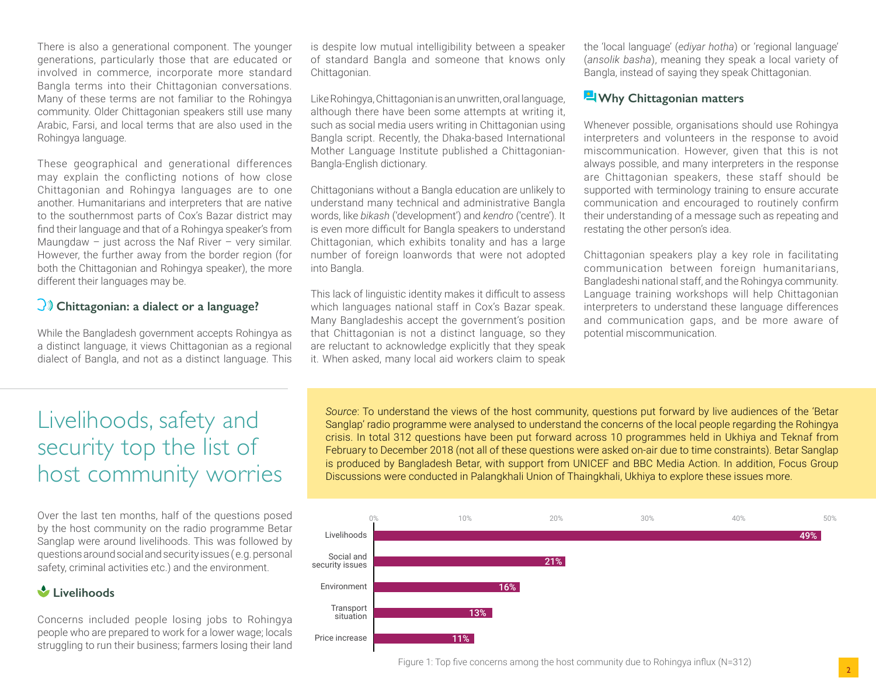There is also a generational component. The younger generations, particularly those that are educated or involved in commerce, incorporate more standard Bangla terms into their Chittagonian conversations. Many of these terms are not familiar to the Rohingya community. Older Chittagonian speakers still use many Arabic, Farsi, and local terms that are also used in the Rohingya language.

These geographical and generational differences may explain the conflicting notions of how close Chittagonian and Rohingya languages are to one another. Humanitarians and interpreters that are native to the southernmost parts of Cox's Bazar district may find their language and that of a Rohingya speaker's from Maungdaw – just across the Naf River – very similar. However, the further away from the border region (for both the Chittagonian and Rohingya speaker), the more different their languages may be.

# **Chittagonian: a dialect or a language?**

While the Bangladesh government accepts Rohingya as a distinct language, it views Chittagonian as a regional dialect of Bangla, and not as a distinct language. This is despite low mutual intelligibility between a speaker of standard Bangla and someone that knows only Chittagonian.

Like Rohingya, Chittagonian is an unwritten, oral language, although there have been some attempts at writing it, such as social media users writing in Chittagonian using Bangla script. Recently, the Dhaka-based International Mother Language Institute published a Chittagonian-Bangla-English dictionary.

Chittagonians without a Bangla education are unlikely to understand many technical and administrative Bangla words, like *bikash* ('development') and *kendro* ('centre'). It is even more difficult for Bangla speakers to understand Chittagonian, which exhibits tonality and has a large number of foreign loanwords that were not adopted into Bangla.

This lack of linguistic identity makes it difficult to assess which languages national staff in Cox's Bazar speak. Many Bangladeshis accept the government's position that Chittagonian is not a distinct language, so they are reluctant to acknowledge explicitly that they speak it. When asked, many local aid workers claim to speak the 'local language' (*ediyar hotha*) or 'regional language' (*ansolik basha*), meaning they speak a local variety of Bangla, instead of saying they speak Chittagonian.

#### **Why Chittagonian matters**

Whenever possible, organisations should use Rohingya interpreters and volunteers in the response to avoid miscommunication. However, given that this is not always possible, and many interpreters in the response are Chittagonian speakers, these staff should be supported with terminology training to ensure accurate communication and encouraged to routinely confirm their understanding of a message such as repeating and restating the other person's idea.

Chittagonian speakers play a key role in facilitating communication between foreign humanitarians, Bangladeshi national staff, and the Rohingya community. Language training workshops will help Chittagonian interpreters to understand these language differences and communication gaps, and be more aware of potential miscommunication.

# Livelihoods, safety and security top the list of host community worries

Over the last ten months, half of the questions posed by the host community on the radio programme Betar Sanglap were around livelihoods. This was followed by questions around social and security issues ( e.g. personal safety, criminal activities etc.) and the environment.

# **Livelihoods**

Concerns included people losing jobs to Rohingya people who are prepared to work for a lower wage; locals struggling to run their business; farmers losing their land

*Source*: To understand the views of the host community, questions put forward by live audiences of the 'Betar Sanglap' radio programme were analysed to understand the concerns of the local people regarding the Rohingya crisis. In total 312 questions have been put forward across 10 programmes held in Ukhiya and Teknaf from February to December 2018 (not all of these questions were asked on-air due to time constraints). Betar Sanglap is produced by Bangladesh Betar, with support from UNICEF and BBC Media Action. In addition, Focus Group Discussions were conducted in Palangkhali Union of Thaingkhali, Ukhiya to explore these issues more.



Figure 1: Top five concerns among the host community due to Rohingya influx (N=312)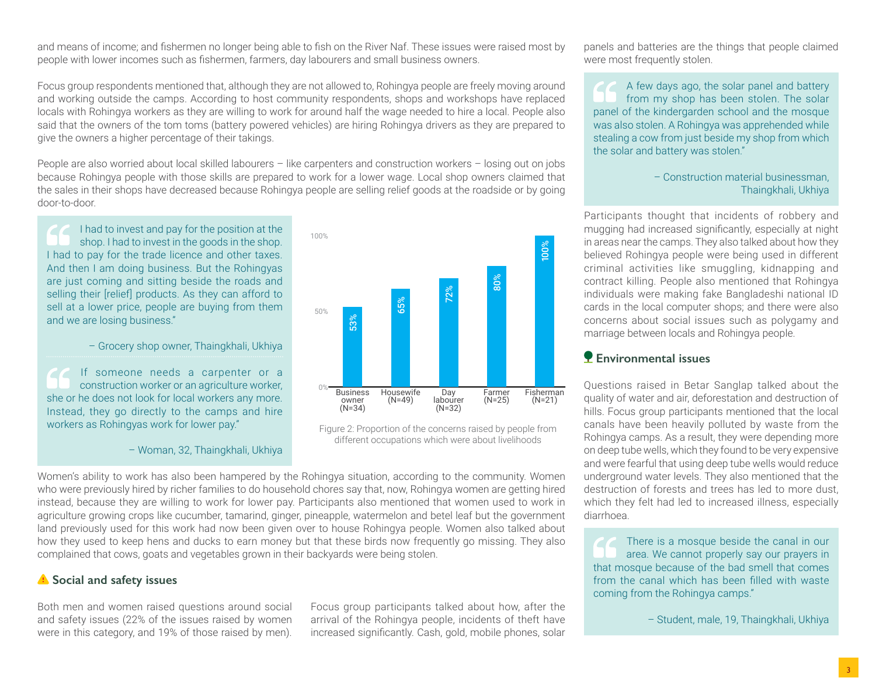and means of income; and fishermen no longer being able to fish on the River Naf. These issues were raised most by people with lower incomes such as fishermen, farmers, day labourers and small business owners.

Focus group respondents mentioned that, although they are not allowed to, Rohingya people are freely moving around and working outside the camps. According to host community respondents, shops and workshops have replaced locals with Rohingya workers as they are willing to work for around half the wage needed to hire a local. People also said that the owners of the tom toms (battery powered vehicles) are hiring Rohingya drivers as they are prepared to give the owners a higher percentage of their takings.

People are also worried about local skilled labourers – like carpenters and construction workers – losing out on jobs because Rohingya people with those skills are prepared to work for a lower wage. Local shop owners claimed that the sales in their shops have decreased because Rohingya people are selling relief goods at the roadside or by going door-to-door.

I had to invest and pay for the position at the shop. I had to invest in the goods in the shop. I had to pay for the trade licence and other taxes. And then I am doing business. But the Rohingyas are just coming and sitting beside the roads and selling their [relief] products. As they can afford to sell at a lower price, people are buying from them and we are losing business."

– Grocery shop owner, Thaingkhali, Ukhiya

If someone needs a carpenter or a construction worker or an agriculture worker, she or he does not look for local workers any more. Instead, they go directly to the camps and hire workers as Rohingyas work for lower pay."





Figure 2: Proportion of the concerns raised by people from different occupations which were about livelihoods

Women's ability to work has also been hampered by the Rohingya situation, according to the community. Women who were previously hired by richer families to do household chores say that, now, Rohingya women are getting hired instead, because they are willing to work for lower pay. Participants also mentioned that women used to work in agriculture growing crops like cucumber, tamarind, ginger, pineapple, watermelon and betel leaf but the government land previously used for this work had now been given over to house Rohingya people. Women also talked about how they used to keep hens and ducks to earn money but that these birds now frequently go missing. They also complained that cows, goats and vegetables grown in their backyards were being stolen.

#### *f* Social and safety issues

Both men and women raised questions around social and safety issues (22% of the issues raised by women were in this category, and 19% of those raised by men).

Focus group participants talked about how, after the arrival of the Rohingya people, incidents of theft have increased significantly. Cash, gold, mobile phones, solar panels and batteries are the things that people claimed were most frequently stolen.

A few days ago, the solar panel and battery from my shop has been stolen. The solar panel of the kindergarden school and the mosque was also stolen. A Rohingya was apprehended while stealing a cow from just beside my shop from which the solar and battery was stolen."

#### – Construction material businessman, Thaingkhali, Ukhiya

Participants thought that incidents of robbery and mugging had increased significantly, especially at night in areas near the camps. They also talked about how they believed Rohingya people were being used in different criminal activities like smuggling, kidnapping and contract killing. People also mentioned that Rohingya individuals were making fake Bangladeshi national ID cards in the local computer shops; and there were also concerns about social issues such as polygamy and marriage between locals and Rohingya people.

## **Environmental issues**

Questions raised in Betar Sanglap talked about the quality of water and air, deforestation and destruction of hills. Focus group participants mentioned that the local canals have been heavily polluted by waste from the Rohingya camps. As a result, they were depending more on deep tube wells, which they found to be very expensive and were fearful that using deep tube wells would reduce underground water levels. They also mentioned that the destruction of forests and trees has led to more dust, which they felt had led to increased illness, especially diarrhoea.

There is a mosque beside the canal in our area. We cannot properly say our prayers in that mosque because of the bad smell that comes from the canal which has been filled with waste coming from the Rohingya camps."

– Student, male, 19, Thaingkhali, Ukhiya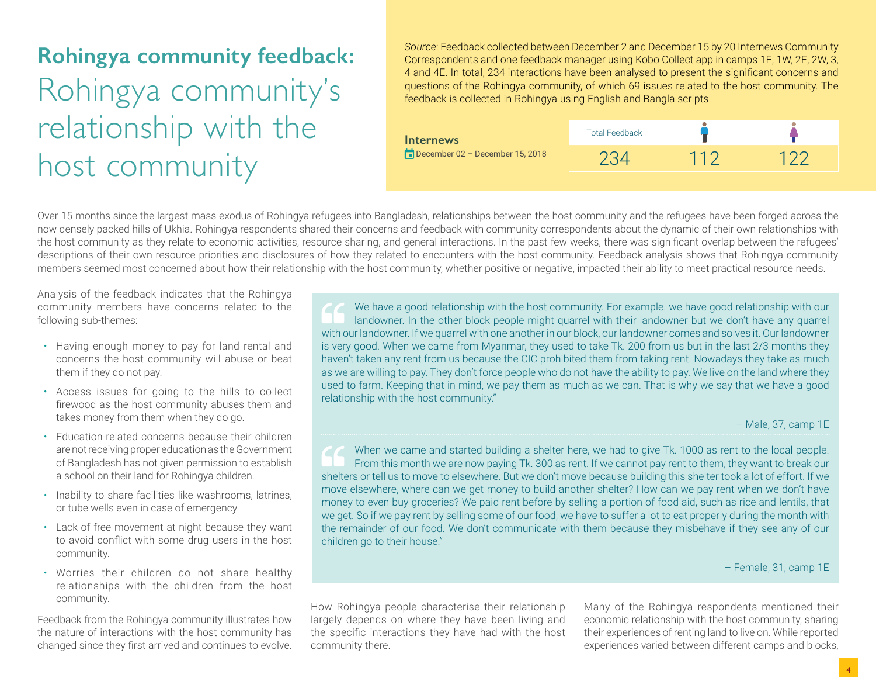# **Rohingya community feedback:** Rohingya community's relationship with the host community

*Source*: Feedback collected between December 2 and December 15 by 20 Internews Community Correspondents and one feedback manager using Kobo Collect app in camps 1E, 1W, 2E, 2W, 3, 4 and 4E. In total, 234 interactions have been analysed to present the significant concerns and questions of the Rohingya community, of which 69 issues related to the host community. The feedback is collected in Rohingya using English and Bangla scripts.



Over 15 months since the largest mass exodus of Rohingya refugees into Bangladesh, relationships between the host community and the refugees have been forged across the now densely packed hills of Ukhia. Rohingya respondents shared their concerns and feedback with community correspondents about the dynamic of their own relationships with the host community as they relate to economic activities, resource sharing, and general interactions. In the past few weeks, there was significant overlap between the refugees' descriptions of their own resource priorities and disclosures of how they related to encounters with the host community. Feedback analysis shows that Rohingya community members seemed most concerned about how their relationship with the host community, whether positive or negative, impacted their ability to meet practical resource needs.

Analysis of the feedback indicates that the Rohingya community members have concerns related to the following sub-themes:

- Having enough money to pay for land rental and concerns the host community will abuse or beat them if they do not pay.
- Access issues for going to the hills to collect firewood as the host community abuses them and takes money from them when they do go.
- Education-related concerns because their children are not receiving proper education as the Government of Bangladesh has not given permission to establish a school on their land for Rohingya children.
- Inability to share facilities like washrooms, latrines, or tube wells even in case of emergency.
- Lack of free movement at night because they want to avoid conflict with some drug users in the host community.
- Worries their children do not share healthy relationships with the children from the host community.

Feedback from the Rohingya community illustrates how the nature of interactions with the host community has changed since they first arrived and continues to evolve.

We have a good relationship with the host community. For example. we have good relationship with our landowner. In the other block people might quarrel with their landowner but we don't have any quarrel with our landowner. If we quarrel with one another in our block, our landowner comes and solves it. Our landowner is very good. When we came from Myanmar, they used to take Tk. 200 from us but in the last 2/3 months they haven't taken any rent from us because the CIC prohibited them from taking rent. Nowadays they take as much as we are willing to pay. They don't force people who do not have the ability to pay. We live on the land where they used to farm. Keeping that in mind, we pay them as much as we can. That is why we say that we have a good relationship with the host community."

– Male, 37, camp 1E

When we came and started building a shelter here, we had to give Tk. 1000 as rent to the local people. From this month we are now paying Tk. 300 as rent. If we cannot pay rent to them, they want to break our shelters or tell us to move to elsewhere. But we don't move because building this shelter took a lot of effort. If we move elsewhere, where can we get money to build another shelter? How can we pay rent when we don't have money to even buy groceries? We paid rent before by selling a portion of food aid, such as rice and lentils, that we get. So if we pay rent by selling some of our food, we have to suffer a lot to eat properly during the month with the remainder of our food. We don't communicate with them because they misbehave if they see any of our children go to their house."

– Female, 31, camp 1E

How Rohingya people characterise their relationship largely depends on where they have been living and the specific interactions they have had with the host community there.

Many of the Rohingya respondents mentioned their economic relationship with the host community, sharing their experiences of renting land to live on. While reported experiences varied between different camps and blocks,